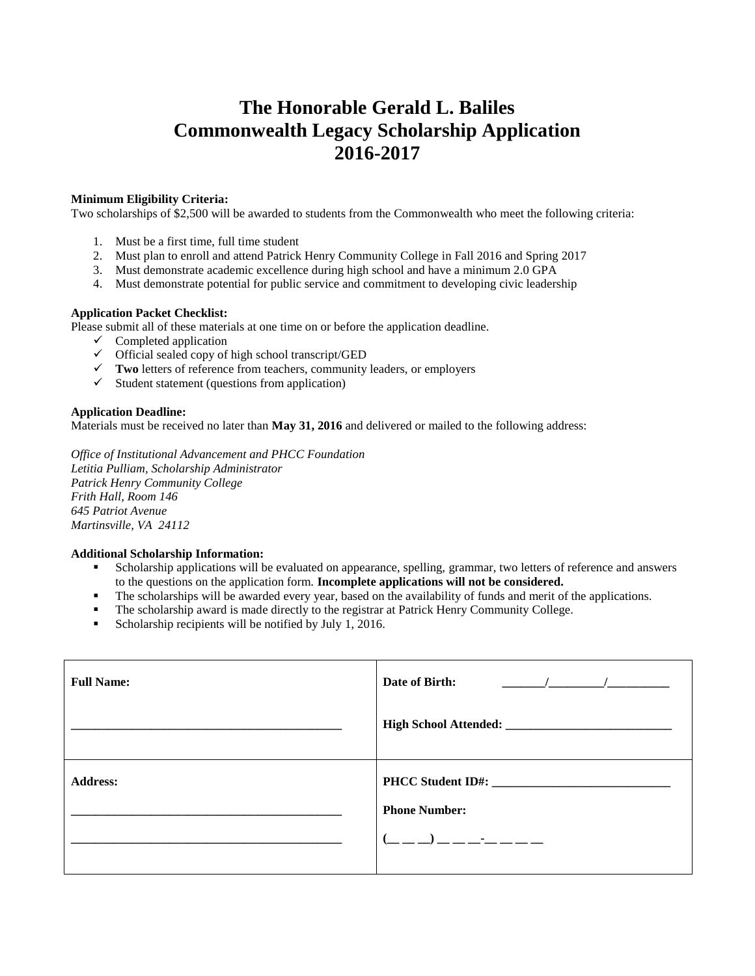# **The Honorable Gerald L. Baliles Commonwealth Legacy Scholarship Application 2016-2017**

## **Minimum Eligibility Criteria:**

Two scholarships of \$2,500 will be awarded to students from the Commonwealth who meet the following criteria:

- 1. Must be a first time, full time student
- 2. Must plan to enroll and attend Patrick Henry Community College in Fall 2016 and Spring 2017
- 3. Must demonstrate academic excellence during high school and have a minimum 2.0 GPA
- 4. Must demonstrate potential for public service and commitment to developing civic leadership

#### **Application Packet Checklist:**

Please submit all of these materials at one time on or before the application deadline.

- $\checkmark$  Completed application
- $\checkmark$  Official sealed copy of high school transcript/GED
- **Two** letters of reference from teachers, community leaders, or employers
- $\checkmark$  Student statement (questions from application)

#### **Application Deadline:**

Materials must be received no later than **May 31, 2016** and delivered or mailed to the following address:

*Office of Institutional Advancement and PHCC Foundation Letitia Pulliam, Scholarship Administrator Patrick Henry Community College Frith Hall, Room 146 645 Patriot Avenue Martinsville, VA 24112*

### **Additional Scholarship Information:**

- Scholarship applications will be evaluated on appearance, spelling, grammar, two letters of reference and answers to the questions on the application form. **Incomplete applications will not be considered.**
- The scholarships will be awarded every year, based on the availability of funds and merit of the applications.
- The scholarship award is made directly to the registrar at Patrick Henry Community College.
- **Scholarship recipients will be notified by July 1, 2016.**

| <b>Full Name:</b> | Date of Birth:<br>$\sqrt{2}$                         |
|-------------------|------------------------------------------------------|
|                   |                                                      |
| <b>Address:</b>   | PHCC Student ID#:                                    |
|                   | <b>Phone Number:</b>                                 |
|                   | $($ $\_\_$ $\_\_$ $\_\_$ $\_\_$ $\_\_$ $\_\_$ $\_\_$ |
|                   |                                                      |